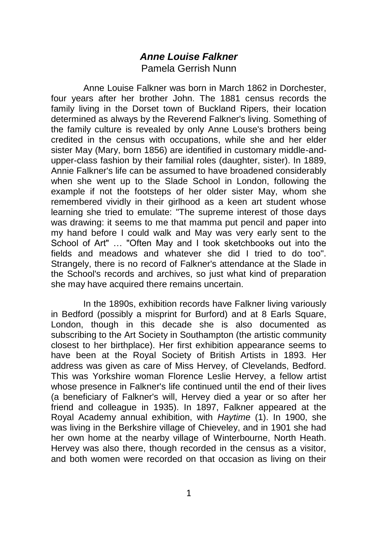## *Anne Louise Falkner* Pamela Gerrish Nunn

Anne Louise Falkner was born in March 1862 in Dorchester, four years after her brother John. The 1881 census records the family living in the Dorset town of Buckland Ripers, their location determined as always by the Reverend Falkner's living. Something of the family culture is revealed by only Anne Louse's brothers being credited in the census with occupations, while she and her elder sister May (Mary, born 1856) are identified in customary middle-andupper-class fashion by their familial roles (daughter, sister). In 1889, Annie Falkner's life can be assumed to have broadened considerably when she went up to the Slade School in London, following the example if not the footsteps of her older sister May, whom she remembered vividly in their girlhood as a keen art student whose learning she tried to emulate: "The supreme interest of those days was drawing: it seems to me that mamma put pencil and paper into my hand before I could walk and May was very early sent to the School of Art" … "Often May and I took sketchbooks out into the fields and meadows and whatever she did I tried to do too". Strangely, there is no record of Falkner's attendance at the Slade in the School's records and archives, so just what kind of preparation she may have acquired there remains uncertain.

In the 1890s, exhibition records have Falkner living variously in Bedford (possibly a misprint for Burford) and at 8 Earls Square, London, though in this decade she is also documented as subscribing to the Art Society in Southampton (the artistic community closest to her birthplace). Her first exhibition appearance seems to have been at the Royal Society of British Artists in 1893. Her address was given as care of Miss Hervey, of Clevelands, Bedford. This was Yorkshire woman Florence Leslie Hervey, a fellow artist whose presence in Falkner's life continued until the end of their lives (a beneficiary of Falkner's will, Hervey died a year or so after her friend and colleague in 1935). In 1897, Falkner appeared at the Royal Academy annual exhibition, with *Haytime* (1). In 1900, she was living in the Berkshire village of Chieveley, and in 1901 she had her own home at the nearby village of Winterbourne, North Heath. Hervey was also there, though recorded in the census as a visitor, and both women were recorded on that occasion as living on their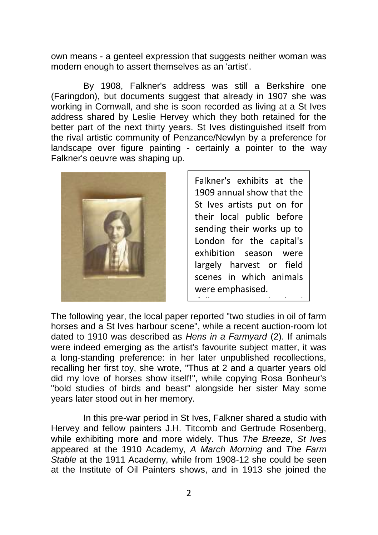own means - a genteel expression that suggests neither woman was modern enough to assert themselves as an 'artist'.

By 1908, Falkner's address was still a Berkshire one (Faringdon), but documents suggest that already in 1907 she was working in Cornwall, and she is soon recorded as living at a St Ives address shared by Leslie Hervey which they both retained for the better part of the next thirty years. St Ives distinguished itself from the rival artistic community of Penzance/Newlyn by a preference for landscape over figure painting - certainly a pointer to the way Falkner's oeuvre was shaping up.



Falkner's exhibits at the 1909 annual show that the St Ives artists put on for their local public before sending their works up to London for the capital's exhibition season were largely harvest or field scenes in which animals were emphasised.

following year, the local state of the local state of the local state of the local state of the local state of<br>The local state of the local state of the local state of the local state of the local state of the local state

The following year, the local paper reported "two studies in oil of farm horses and a St Ives harbour scene", while a recent auction-room lot dated to 1910 was described as Hens in a Farmyard (2). If animals were indeed emerging as the artist's favourite subject matter, it was a long-standing preference: in her later unpublished recollections, recalling her first toy, she wrote, "Thus at 2 and a quarter years old did my love of horses show itself!", while copying Rosa Bonheur's "bold studies of birds and beast" alongside her sister May some years later stood out in her memory.

In this pre-war period in St Ives, Falkner shared a studio with Hervey and fellow painters J.H. Titcomb and Gertrude Rosenberg, while exhibiting more and more widely. Thus *The Breeze, St Ives* appeared at the 1910 Academy, *A March Morning* and *The Farm Stable* at the 1911 Academy, while from 1908-12 she could be seen at the Institute of Oil Painters shows, and in 1913 she joined the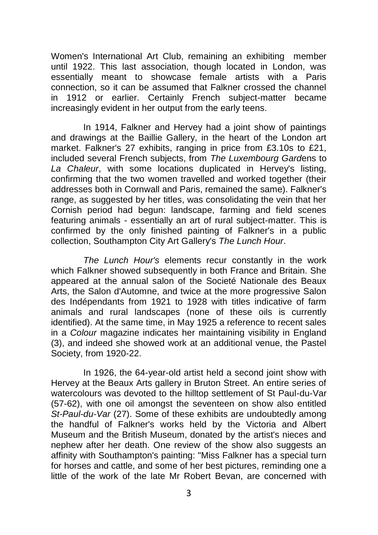Women's International Art Club, remaining an exhibiting member until 1922. This last association, though located in London, was essentially meant to showcase female artists with a Paris connection, so it can be assumed that Falkner crossed the channel in 1912 or earlier. Certainly French subject-matter became increasingly evident in her output from the early teens.

In 1914, Falkner and Hervey had a joint show of paintings and drawings at the Baillie Gallery, in the heart of the London art market. Falkner's 27 exhibits, ranging in price from £3.10s to £21, included several French subjects, from *The Luxembourg Gard*ens to *La Chaleur*, with some locations duplicated in Hervey's listing, confirming that the two women travelled and worked together (their addresses both in Cornwall and Paris, remained the same). Falkner's range, as suggested by her titles, was consolidating the vein that her Cornish period had begun: landscape, farming and field scenes featuring animals - essentially an art of rural subject-matter. This is confirmed by the only finished painting of Falkner's in a public collection, Southampton City Art Gallery's *The Lunch Hour*.

*The Lunch Hour's* elements recur constantly in the work which Falkner showed subsequently in both France and Britain. She appeared at the annual salon of the Societé Nationale des Beaux Arts, the Salon d'Automne, and twice at the more progressive Salon des Indépendants from 1921 to 1928 with titles indicative of farm animals and rural landscapes (none of these oils is currently identified). At the same time, in May 1925 a reference to recent sales in a *Colour* magazine indicates her maintaining visibility in England (3), and indeed she showed work at an additional venue, the Pastel Society, from 1920-22.

In 1926, the 64-year-old artist held a second joint show with Hervey at the Beaux Arts gallery in Bruton Street. An entire series of watercolours was devoted to the hilltop settlement of St Paul-du-Var (57-62), with one oil amongst the seventeen on show also entitled *St-Paul-du-Var* (27). Some of these exhibits are undoubtedly among the handful of Falkner's works held by the Victoria and Albert Museum and the British Museum, donated by the artist's nieces and nephew after her death. One review of the show also suggests an affinity with Southampton's painting: "Miss Falkner has a special turn for horses and cattle, and some of her best pictures, reminding one a little of the work of the late Mr Robert Bevan, are concerned with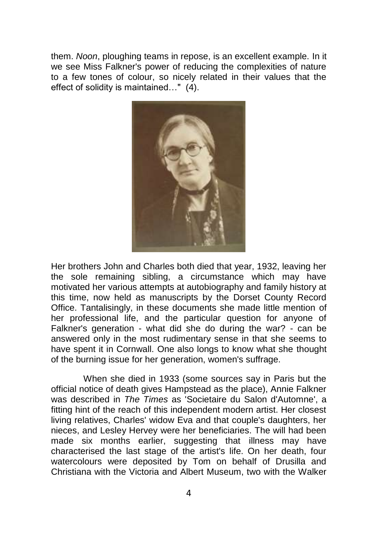them. *Noon*, ploughing teams in repose, is an excellent example. In it we see Miss Falkner's power of reducing the complexities of nature to a few tones of colour, so nicely related in their values that the effect of solidity is maintained…" (4).



Her brothers John and Charles both died that year, 1932, leaving her the sole remaining sibling, a circumstance which may have motivated her various attempts at autobiography and family history at this time, now held as manuscripts by the Dorset County Record Office. Tantalisingly, in these documents she made little mention of her professional life, and the particular question for anyone of Falkner's generation - what did she do during the war? - can be answered only in the most rudimentary sense in that she seems to have spent it in Cornwall. One also longs to know what she thought of the burning issue for her generation, women's suffrage.

When she died in 1933 (some sources say in Paris but the official notice of death gives Hampstead as the place), Annie Falkner was described in *The Times* as 'Societaire du Salon d'Automne', a fitting hint of the reach of this independent modern artist. Her closest living relatives, Charles' widow Eva and that couple's daughters, her nieces, and Lesley Hervey were her beneficiaries. The will had been made six months earlier, suggesting that illness may have characterised the last stage of the artist's life. On her death, four watercolours were deposited by Tom on behalf of Drusilla and Christiana with the Victoria and Albert Museum, two with the Walker